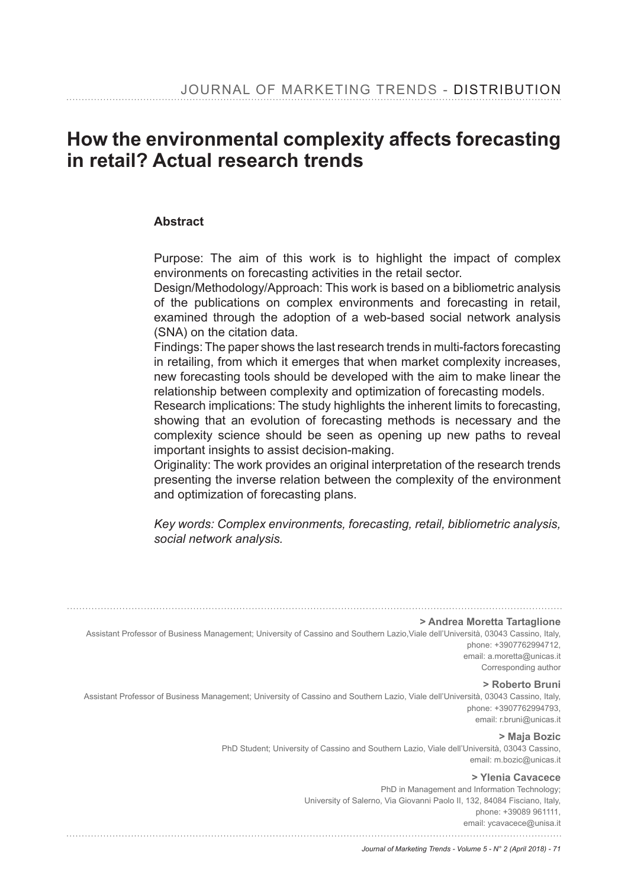# How the environmental complexity affects forecasting **in retail? Actual research trends**

#### **Abstract**

Purpose: The aim of this work is to highlight the impact of complex environments on forecasting activities in the retail sector.

Design/Methodology/Approach: This work is based on a bibliometric analysis of the publications on complex environments and forecasting in retail, examined through the adoption of a web-based social network analysis (SNA) on the citation data.

Findings: The paper shows the last research trends in multi-factors forecasting in retailing, from which it emerges that when market complexity increases, new forecasting tools should be developed with the aim to make linear the relationship between complexity and optimization of forecasting models.

Research implications: The study highlights the inherent limits to forecasting, showing that an evolution of forecasting methods is necessary and the complexity science should be seen as opening up new paths to reveal important insights to assist decision-making.

Originality: The work provides an original interpretation of the research trends presenting the inverse relation between the complexity of the environment and optimization of forecasting plans.

*Key words: Complex environments, forecasting, retail, bibliometric analysis, social network analysis.* 

**> Andrea Moretta Tartaglione**

Assistant Professor of Business Management; University of Cassino and Southern Lazio,Viale dell'Università, 03043 Cassino, Italy, phone: +3907762994712, email: a.moretta@unicas.it

Corresponding author

**> Roberto Bruni**

Assistant Professor of Business Management; University of Cassino and Southern Lazio, Viale dell'Università, 03043 Cassino, Italy, phone: +3907762994793, email: r.bruni@unicas.it

**> Maja Bozic**

PhD Student; University of Cassino and Southern Lazio, Viale dell'Università, 03043 Cassino, email: m.bozic@unicas.it

**> Ylenia Cavacece**

PhD in Management and Information Technology; University of Salerno, Via Giovanni Paolo II, 132, 84084 Fisciano, Italy, phone: +39089 961111, email: ycavacece@unisa.it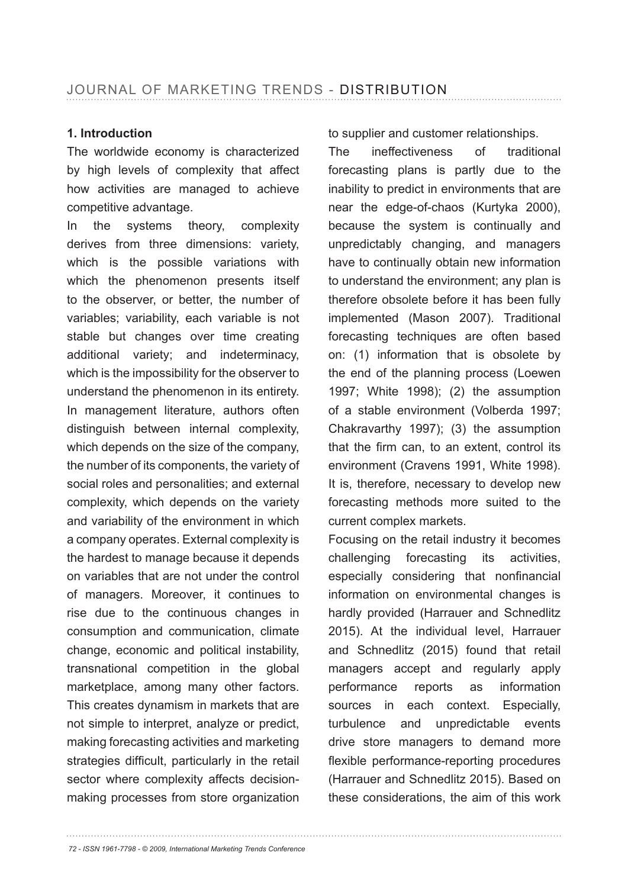### 1. Introduction

The worldwide economy is characterized by high levels of complexity that affect how activities are managed to achieve competitive advantage.

In the systems theory, complexity derives from three dimensions: variety, which is the possible variations with which the phenomenon presents itself to the observer, or better, the number of variables; variability, each variable is not stable but changes over time creating additional variety; and indeterminacy, which is the impossibility for the observer to understand the phenomenon in its entirety. In management literature, authors often distinguish between internal complexity, which depends on the size of the company, the number of its components, the variety of social roles and personalities; and external complexity, which depends on the variety and variability of the environment in which a company operates. External complexity is the hardest to manage because it depends on variables that are not under the control of managers. Moreover, it continues to rise due to the continuous changes in consumption and communication, climate change, economic and political instability, transnational competition in the global marketplace, among many other factors. This creates dynamism in markets that are not simple to interpret, analyze or predict, making forecasting activities and marketing strategies difficult, particularly in the retail sector where complexity affects decisionmaking processes from store organization

to supplier and customer relationships.

The ineffectiveness of traditional forecasting plans is partly due to the inability to predict in environments that are near the edge-of-chaos (Kurtyka 2000), because the system is continually and unpredictably changing, and managers have to continually obtain new information to understand the environment; any plan is therefore obsolete before it has been fully implemented (Mason 2007). Traditional forecasting techniques are often based on: (1) information that is obsolete by the end of the planning process (Loewen 1997; White 1998); (2) the assumption of a stable environment (Volberda 1997; Chakravarthy 1997); (3) the assumption that the firm can, to an extent, control its environment (Cravens 1991, White 1998). It is, therefore, necessary to develop new forecasting methods more suited to the current complex markets.

Focusing on the retail industry it becomes challenging forecasting its activities, especially considering that nonfinancial information on environmental changes is hardly provided (Harrauer and Schnedlitz 2015). At the individual level, Harrauer and Schnedlitz (2015) found that retail managers accept and regularly apply performance reports as information sources in each context. Especially, turbulence and unpredictable events drive store managers to demand more flexible performance-reporting procedures (Harrauer and Schnedlitz 2015). Based on these considerations, the aim of this work

*72 - ISSN 1961-7798 - © 2009, International Marketing Trends Conference*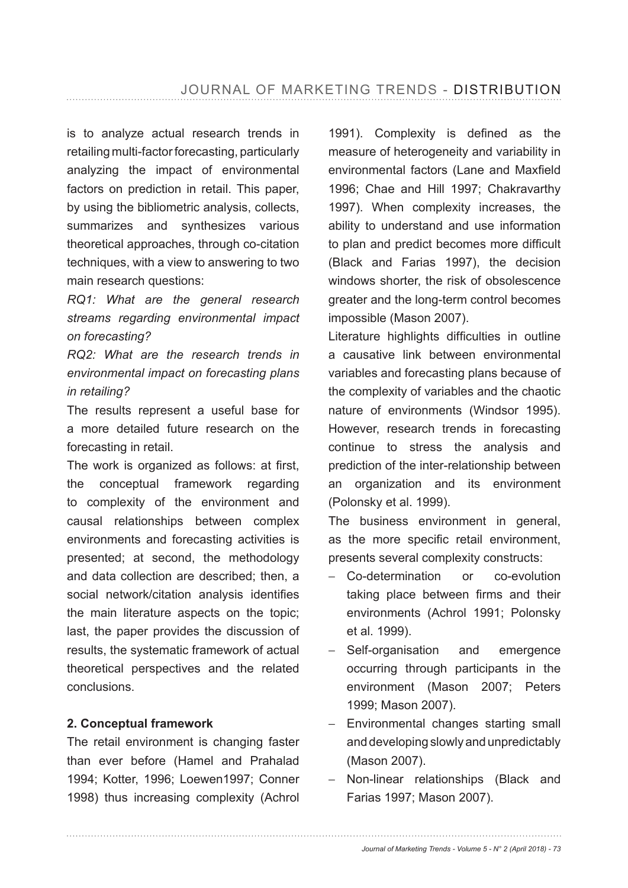is to analyze actual research trends in retailing multi-factor forecasting, particularly analyzing the impact of environmental factors on prediction in retail. This paper, by using the bibliometric analysis, collects, summarizes and synthesizes various theoretical approaches, through co-citation techniques, with a view to answering to two main research questions:

*RQ1: What are the general research streams regarding environmental impact on forecasting?* 

*RQ2: What are the research trends in environmental impact on forecasting plans in retailing?*

The results represent a useful base for a more detailed future research on the forecasting in retail.

The work is organized as follows: at first, the conceptual framework regarding to complexity of the environment and causal relationships between complex environments and forecasting activities is presented; at second, the methodology and data collection are described; then, a social network/citation analysis identifies the main literature aspects on the topic; last, the paper provides the discussion of results, the systematic framework of actual theoretical perspectives and the related conclusions.

### 2. Conceptual framework

The retail environment is changing faster than ever before (Hamel and Prahalad 1994; Kotter, 1996; Loewen1997; Conner 1998) thus increasing complexity (Achrol

1991). Complexity is defined as the measure of heterogeneity and variability in environmental factors (Lane and Maxfield 1996; Chae and Hill 1997; Chakravarthy 1997). When complexity increases, the ability to understand and use information to plan and predict becomes more difficult (Black and Farias 1997), the decision windows shorter, the risk of obsolescence greater and the long-term control becomes impossible (Mason 2007).

Literature highlights difficulties in outline a causative link between environmental variables and forecasting plans because of the complexity of variables and the chaotic nature of environments (Windsor 1995). However, research trends in forecasting continue to stress the analysis and prediction of the inter-relationship between an organization and its environment (Polonsky et al. 1999).

The business environment in general, as the more specific retail environment, presents several complexity constructs:

- − Co-determination or co-evolution taking place between firms and their environments (Achrol 1991; Polonsky et al. 1999).
- − Self-organisation and emergence occurring through participants in the environment (Mason 2007; Peters 1999; Mason 2007).
- − Environmental changes starting small and developing slowly and unpredictably (Mason 2007).
- − Non-linear relationships (Black and Farias 1997; Mason 2007).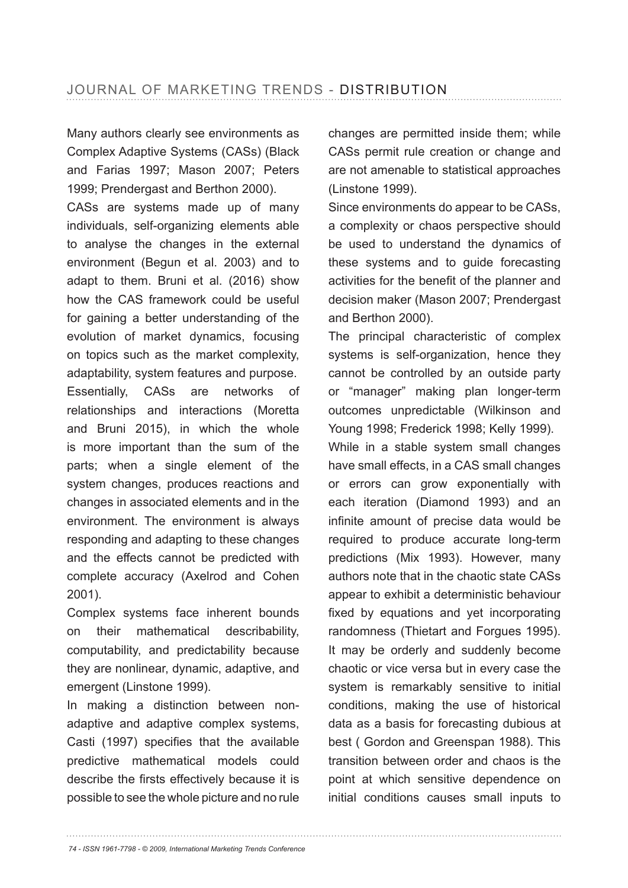Many authors clearly see environments as Complex Adaptive Systems (CASs) (Black and Farias 1997; Mason 2007; Peters 1999; Prendergast and Berthon 2000).

CASs are systems made up of many individuals, self-organizing elements able to analyse the changes in the external environment (Begun et al. 2003) and to adapt to them. Bruni et al. (2016) show how the CAS framework could be useful for gaining a better understanding of the evolution of market dynamics, focusing on topics such as the market complexity, adaptability, system features and purpose. Essentially, CASs are networks of relationships and interactions (Moretta and Bruni 2015), in which the whole is more important than the sum of the parts; when a single element of the system changes, produces reactions and changes in associated elements and in the environment. The environment is always responding and adapting to these changes and the effects cannot be predicted with complete accuracy (Axelrod and Cohen

Complex systems face inherent bounds on their mathematical describability, computability, and predictability because they are nonlinear, dynamic, adaptive, and emergent (Linstone 1999).

2001).

In making a distinction between nonadaptive and adaptive complex systems, Casti (1997) specifies that the available predictive mathematical models could describe the firsts effectively because it is possible to see the whole picture and no rule changes are permitted inside them; while CASs permit rule creation or change and are not amenable to statistical approaches (Linstone 1999).

Since environments do appear to be CASs, a complexity or chaos perspective should be used to understand the dynamics of these systems and to guide forecasting activities for the benefit of the planner and decision maker (Mason 2007; Prendergast and Berthon 2000).

The principal characteristic of complex systems is self-organization, hence they cannot be controlled by an outside party or "manager" making plan longer-term outcomes unpredictable (Wilkinson and Young 1998; Frederick 1998; Kelly 1999).

While in a stable system small changes have small effects, in a CAS small changes or errors can grow exponentially with each iteration (Diamond 1993) and an infinite amount of precise data would be required to produce accurate long-term predictions (Mix 1993). However, many authors note that in the chaotic state CASs appear to exhibit a deterministic behaviour fixed by equations and yet incorporating randomness (Thietart and Forgues 1995). It may be orderly and suddenly become chaotic or vice versa but in every case the system is remarkably sensitive to initial conditions, making the use of historical data as a basis for forecasting dubious at best ( Gordon and Greenspan 1988). This transition between order and chaos is the point at which sensitive dependence on initial conditions causes small inputs to

*74 - ISSN 1961-7798 - © 2009, International Marketing Trends Conference*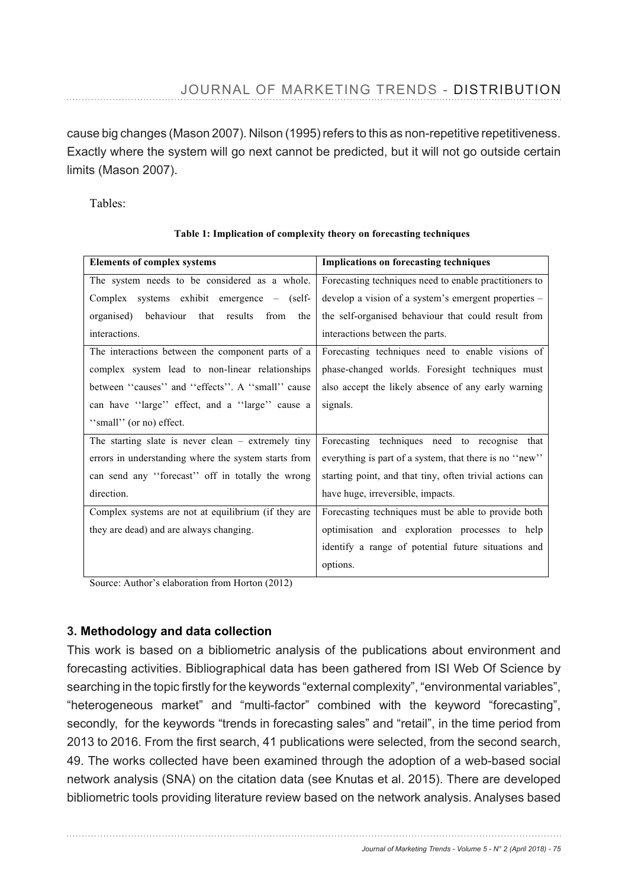cause big changes (Mason 2007). Nilson (1995) refers to this as non-repetitive repetitiveness. Exactly where the system will go next cannot be predicted, but it will not go outside certain limits (Mason 2007).

Tables:

| <b>Elements of complex systems</b>                   | <b>Implications on forecasting techniques</b>            |  |  |  |
|------------------------------------------------------|----------------------------------------------------------|--|--|--|
| The system needs to be considered as a whole.        | Forecasting techniques need to enable practitioners to   |  |  |  |
| Complex systems exhibit emergence – (self-           | develop a vision of a system's emergent properties -     |  |  |  |
| organised) behaviour that results<br>from<br>the     | the self-organised behaviour that could result from      |  |  |  |
| interactions.                                        | interactions between the parts.                          |  |  |  |
| The interactions between the component parts of a    | Forecasting techniques need to enable visions of         |  |  |  |
| complex system lead to non-linear relationships      | phase-changed worlds. Foresight techniques must          |  |  |  |
| between "causes" and "effects". A "small" cause      | also accept the likely absence of any early warning      |  |  |  |
| can have "large" effect, and a "large" cause a       | signals.                                                 |  |  |  |
| "small" (or no) effect.                              |                                                          |  |  |  |
| The starting slate is never clean $-$ extremely tiny | Forecasting techniques need to recognise that            |  |  |  |
| errors in understanding where the system starts from | everything is part of a system, that there is no "new"   |  |  |  |
| can send any "forecast" off in totally the wrong     | starting point, and that tiny, often trivial actions can |  |  |  |
| direction.                                           | have huge, irreversible, impacts.                        |  |  |  |
| Complex systems are not at equilibrium (if they are  | Forecasting techniques must be able to provide both      |  |  |  |
| they are dead) and are always changing.              | optimisation and exploration processes to help           |  |  |  |
|                                                      | identify a range of potential future situations and      |  |  |  |
|                                                      | options.                                                 |  |  |  |

#### **Table 1: Implication of complexity theory on forecasting techniques**

Source: Author's elaboration from Horton (2012)

# **3. Methodology and data collection**

This Wacro level: Climate changelio metric analysis of the publications about environment and This Work is based on a bibliometric analysis of the publications about environment and forecasting activities. Bibliographical data has been gathered from ISI Web Of Science by Consumer Price Index (CPI) **level:** Competition searching in the topic firstly for the keywords "external complexity", "environmental variables", "heterogeneous market" and "multi-factor" combined with the keyword "forecasting", secondly, for the keywords "trends in forecasting sales" and "retail", in the time period from 2013 to 2016. From the first search, 41 publications were selected, from the second search, 49. The works collected have been examined through the adoption of a web-based social network analysis (SNA) on the citation data (see Knutas et al. 2015). There are developed bibliometric tools providing literature review based on the network analysis. Analyses based Fuel price Financial economic crisis Affected transport capacity Industry concentration Shared information in a supply chain Limited data **Seasonality** Location of the decoupling point Weather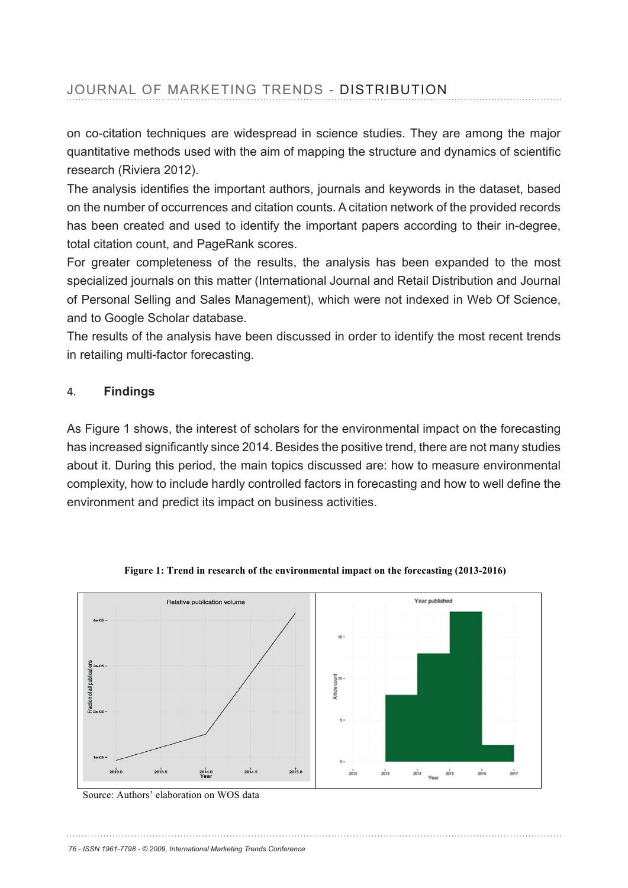on co-citation techniques are widespread in science studies. They are among the major quantitative methods used with the aim of mapping the structure and dynamics of scientific research (Riviera 2012).

The analysis identifies the important authors, journals and keywords in the dataset, based on the number of occurrences and citation counts. A citation network of the provided records has been created and used to identify the important papers according to their in-degree, total citation count, and PageRank scores.

For greater completeness of the results, the analysis has been expanded to the most specialized journals on this matter (International Journal and Retail Distribution and Journal of Personal Selling and Sales Management), which were not indexed in Web Of Science, and to Google Scholar database.

The results of the analysis have been discussed in order to identify the most recent trends in retailing multi-factor forecasting.

## 4. **Findings**

As Figure 1 shows, the interest of scholars for the environmental impact on the forecasting has increased significantly since 2014. Besides the positive trend, there are not many studies about it. During this period, the main topics discussed are: how to measure environmental complexity, how to include hardly controlled factors in forecasting and how to well define the environment and predict its impact on business activities.



**Figure 1: Trend in research of the environmental impact on the forecasting (2013-2016)** 

Source: Authors' elaboration on WOS data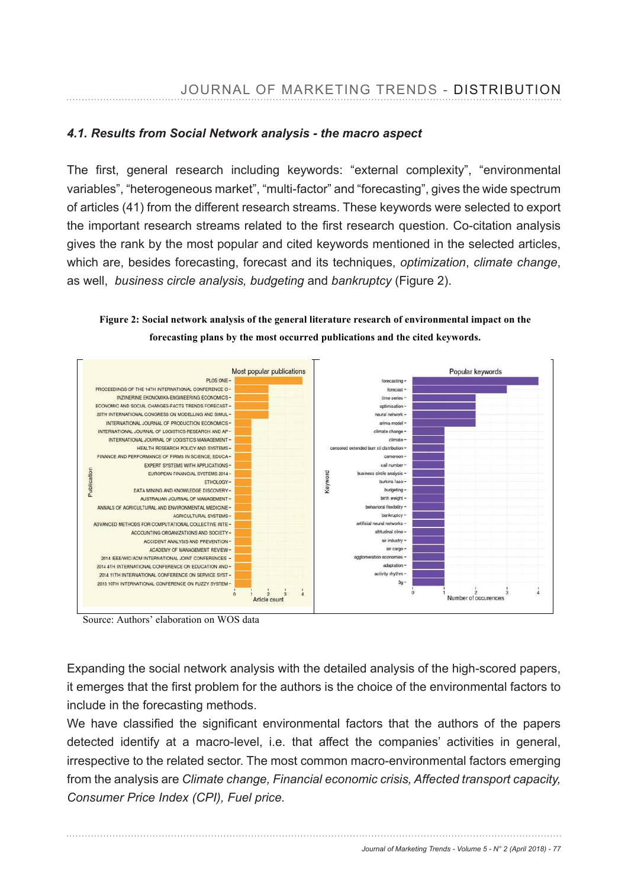## *4.1. Results from Social Network analysis - the macro aspect*

The first, general research including keywords: "external complexity", "environmental variables", "heterogeneous market", "multi-factor" and "forecasting", gives the wide spectrum of articles (41) from the different research streams. These keywords were selected to export the important research streams related to the first research question. Co-citation analysis gives the rank by the most popular and cited keywords mentioned in the selected articles, which are, besides forecasting, forecast and its techniques, *optimization, climate change,* as well, *business circle analysis, budgeting* and *bankruptcy* (Figure 2).

**Figure 2: Social network analysis of the general literature research of environmental impact on the forecasting plans by the most occurred publications and the cited keywords.** 



Source: Authors' elaboration on WOS data

Expanding the social network analysis with the detailed analysis of the high-scored papers, it emerges that the first problem for the authors is the choice of the environmental factors to include in the forecasting methods.

We have classified the significant environmental factors that the authors of the papers detected identify at a macro-level, i.e. that affect the companies' activities in general, irrespective to the related sector. The most common macro-environmental factors emerging from the analysis are *Climate change, Financial economic crisis, Affected transport capacity, Consumer Price Index (CPI), Fuel price.*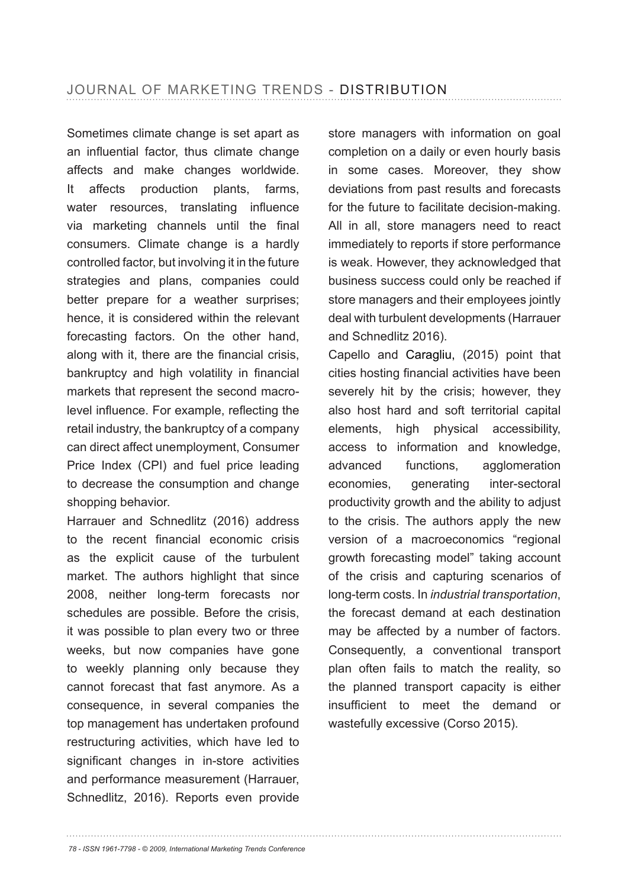Sometimes climate change is set apart as an influential factor, thus climate change affects and make changes worldwide. It affects production plants, farms, water resources, translating influence via marketing channels until the final consumers. Climate change is a hardly controlled factor, but involving it in the future strategies and plans, companies could better prepare for a weather surprises; hence, it is considered within the relevant forecasting factors. On the other hand, along with it, there are the financial crisis, bankruptcy and high volatility in financial markets that represent the second macrolevel influence. For example, reflecting the retail industry, the bankruptcy of a company can direct affect unemployment, Consumer Price Index (CPI) and fuel price leading to decrease the consumption and change shopping behavior.

Harrauer and Schnedlitz (2016) address to the recent financial economic crisis as the explicit cause of the turbulent market. The authors highlight that since 2008, neither long-term forecasts nor schedules are possible. Before the crisis, it was possible to plan every two or three weeks, but now companies have gone to weekly planning only because they cannot forecast that fast anymore. As a consequence, in several companies the top management has undertaken profound restructuring activities, which have led to significant changes in in-store activities and performance measurement (Harrauer, Schnedlitz, 2016). Reports even provide

store managers with information on goal completion on a daily or even hourly basis in some cases. Moreover, they show deviations from past results and forecasts for the future to facilitate decision-making. All in all, store managers need to react immediately to reports if store performance is weak. However, they acknowledged that business success could only be reached if store managers and their employees jointly deal with turbulent developments (Harrauer and Schnedlitz 2016).

Capello and Caragliu, (2015) point that cities hosting financial activities have been severely hit by the crisis; however, they also host hard and soft territorial capital elements, high physical accessibility, access to information and knowledge, advanced functions, agglomeration economies, generating inter-sectoral productivity growth and the ability to adjust to the crisis. The authors apply the new version of a macroeconomics "regional growth forecasting model" taking account of the crisis and capturing scenarios of long-term costs. In *industrial transportation*, the forecast demand at each destination may be affected by a number of factors. Consequently, a conventional transport plan often fails to match the reality, so the planned transport capacity is either insufficient to meet the demand or wastefully excessive (Corso 2015).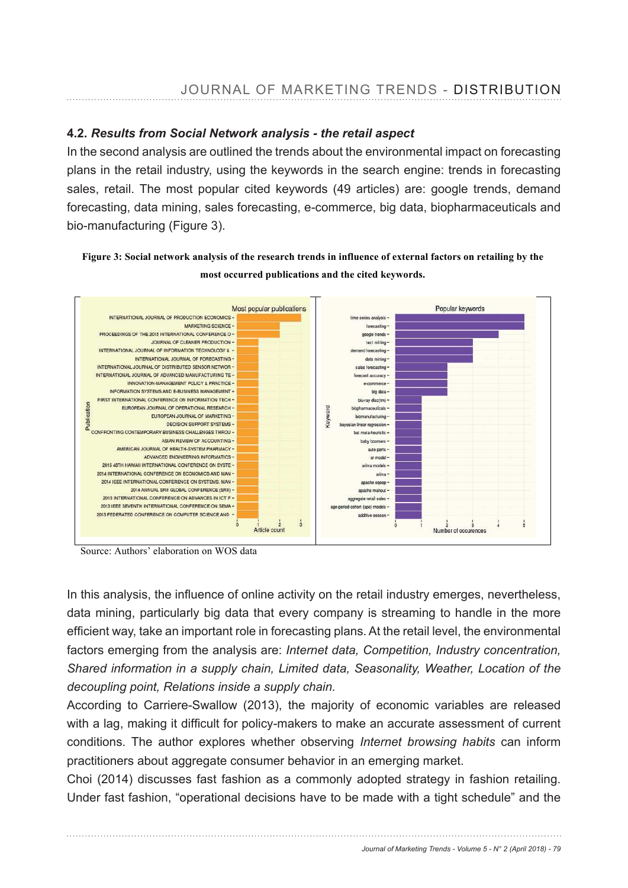### *Results from Social Network analysis - the retail aspect*

In the second analysis are outlined the trends about the environmental impact on forecasting plans in the retail industry, using the keywords in the search engine: trends in forecasting sales, retail. The most popular cited keywords (49 articles) are: google trends, demand forecasting, data mining, sales forecasting, e-commerce, big data, biopharmaceuticals and bio-manufacturing (Figure 3).

#### **Figure 3: Social network analysis of the research trends in influence of external factors on retailing by the most occurred publications and the cited keywords.**



Source: Authors' elaboration on WOS data

In this analysis, the influence of online activity on the retail industry emerges, nevertheless, data mining, particularly big data that every company is streaming to handle in the more efficient way, take an important role in forecasting plans. At the retail level, the environmental factors emerging from the analysis are: *Internet data, Competition, Industry concentration, Shared information in a supply chain, Limited data, Seasonality, Weather, Location of the decoupling point, Relations inside a supply chain.*

According to Carriere-Swallow (2013), the majority of economic variables are released with a lag, making it difficult for policy-makers to make an accurate assessment of current conditions. The author explores whether observing *Internet browsing habits* can inform practitioners about aggregate consumer behavior in an emerging market.

Choi (2014) discusses fast fashion as a commonly adopted strategy in fashion retailing. Under fast fashion, "operational decisions have to be made with a tight schedule" and the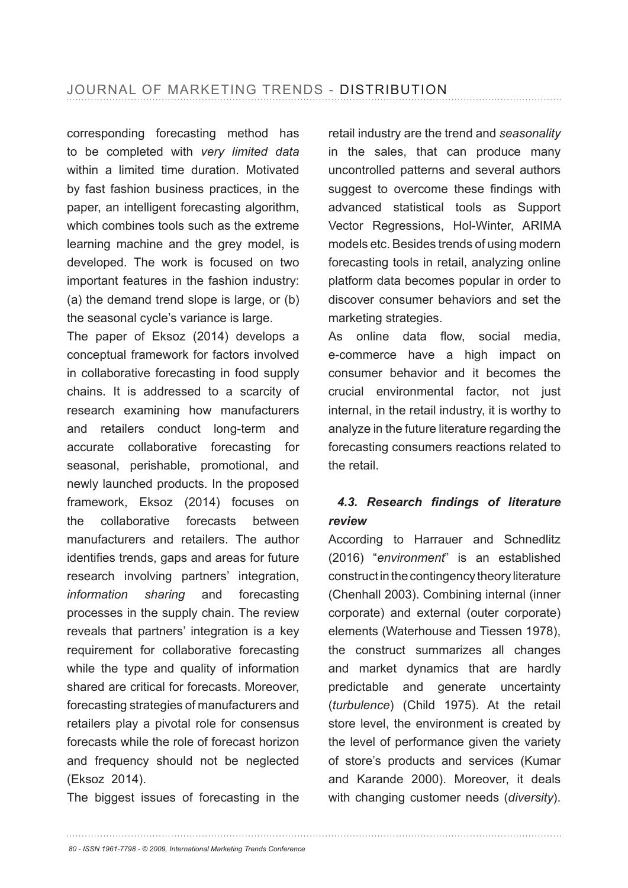corresponding forecasting method has to be completed with *very limited data*  within a limited time duration. Motivated by fast fashion business practices, in the paper, an intelligent forecasting algorithm, which combines tools such as the extreme learning machine and the grey model, is developed. The work is focused on two important features in the fashion industry: (a) the demand trend slope is large, or (b) the seasonal cycle's variance is large.

The paper of Eksoz (2014) develops a conceptual framework for factors involved in collaborative forecasting in food supply chains. It is addressed to a scarcity of research examining how manufacturers and retailers conduct long-term and accurate collaborative forecasting for seasonal, perishable, promotional, and newly launched products. In the proposed framework, Eksoz (2014) focuses on the collaborative forecasts between manufacturers and retailers. The author identifies trends, gaps and areas for future research involving partners' integration, *information sharing* and forecasting processes in the supply chain. The review reveals that partners' integration is a key requirement for collaborative forecasting while the type and quality of information shared are critical for forecasts. Moreover, forecasting strategies of manufacturers and retailers play a pivotal role for consensus forecasts while the role of forecast horizon and frequency should not be neglected (Eksoz 2014).

The biggest issues of forecasting in the

retail industry are the trend and *seasonality* in the sales, that can produce many uncontrolled patterns and several authors suggest to overcome these findings with advanced statistical tools as Support Vector Regressions, Hol-Winter, ARIMA models etc. Besides trends of using modern forecasting tools in retail, analyzing online platform data becomes popular in order to discover consumer behaviors and set the marketing strategies.

As online data flow, social media, e-commerce have a high impact on consumer behavior and it becomes the crucial environmental factor, not just internal, in the retail industry, it is worthy to analyze in the future literature regarding the forecasting consumers reactions related to the retail.

# 4.3. Research findings of literature *review*

According to Harrauer and Schnedlitz (2016) "*environment*" is an established construct in the contingency theory literature (Chenhall 2003). Combining internal (inner corporate) and external (outer corporate) elements (Waterhouse and Tiessen 1978), the construct summarizes all changes and market dynamics that are hardly predictable and generate uncertainty (turbulence) (Child 1975). At the retail store level, the environment is created by the level of performance given the variety of store's products and services (Kumar and Karande 2000). Moreover, it deals with changing customer needs (*diversity*).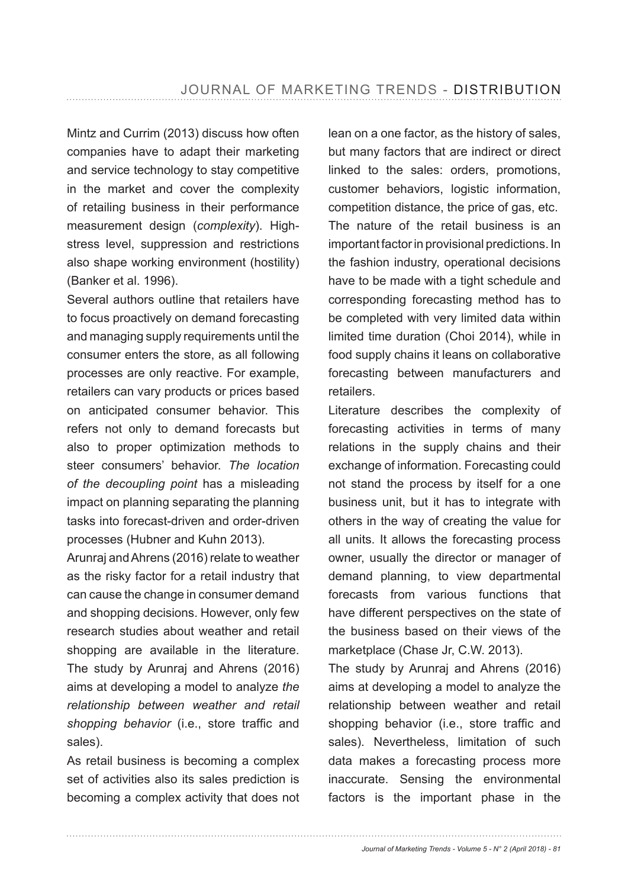Mintz and Currim (2013) discuss how often companies have to adapt their marketing and service technology to stay competitive in the market and cover the complexity of retailing business in their performance measurement design (*complexity*). Highstress level, suppression and restrictions also shape working environment (hostility) (Banker et al. 1996).

Several authors outline that retailers have to focus proactively on demand forecasting and managing supply requirements until the consumer enters the store, as all following processes are only reactive. For example, retailers can vary products or prices based on anticipated consumer behavior. This refers not only to demand forecasts but also to proper optimization methods to steer consumers' behavior. *The location of the decoupling point* has a misleading impact on planning separating the planning tasks into forecast-driven and order-driven processes (Hubner and Kuhn 2013).

Arunraj and Ahrens (2016) relate to weather as the risky factor for a retail industry that can cause the change in consumer demand and shopping decisions. However, only few research studies about weather and retail shopping are available in the literature. The study by Arunraj and Ahrens (2016) aims at developing a model to analyze *the relationship between weather and retail shopping behavior* (i.e., store traffic and sales).

As retail business is becoming a complex set of activities also its sales prediction is becoming a complex activity that does not lean on a one factor, as the history of sales, but many factors that are indirect or direct linked to the sales: orders, promotions, customer behaviors, logistic information, competition distance, the price of gas, etc. The nature of the retail business is an important factor in provisional predictions. In the fashion industry, operational decisions have to be made with a tight schedule and corresponding forecasting method has to be completed with very limited data within limited time duration (Choi 2014), while in food supply chains it leans on collaborative forecasting between manufacturers and retailers.

Literature describes the complexity of forecasting activities in terms of many relations in the supply chains and their exchange of information. Forecasting could not stand the process by itself for a one business unit, but it has to integrate with others in the way of creating the value for all units. It allows the forecasting process owner, usually the director or manager of demand planning, to view departmental forecasts from various functions that have different perspectives on the state of the business based on their views of the marketplace (Chase Jr, C.W. 2013).

The study by Arunraj and Ahrens (2016) aims at developing a model to analyze the relationship between weather and retail shopping behavior (i.e., store traffic and sales). Nevertheless, limitation of such data makes a forecasting process more inaccurate. Sensing the environmental factors is the important phase in the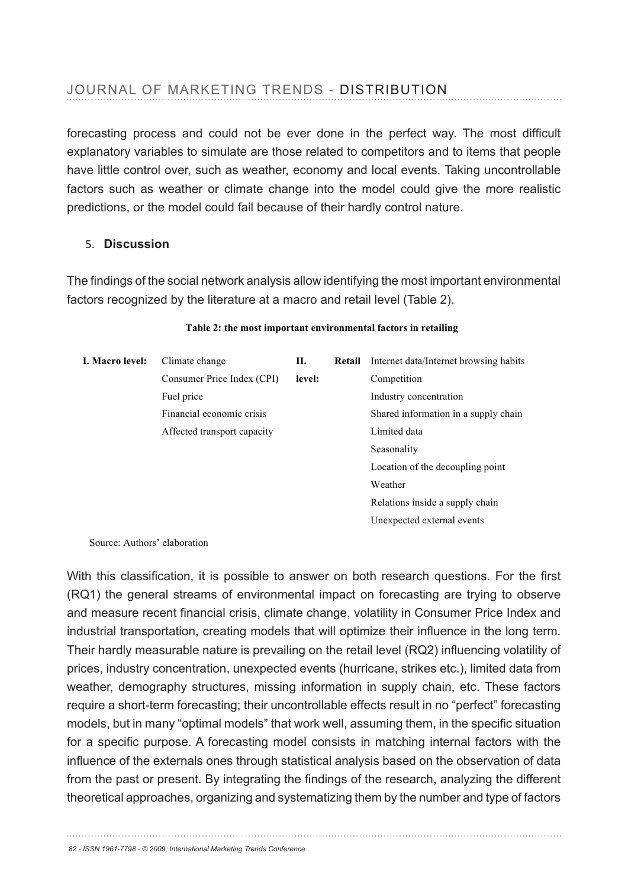| omplex systems exhibit emergence<br>(self                                                                                                         | develop a vision of a system's emergent properties                                                                                                                                                          |  |  |  |  |  |
|---------------------------------------------------------------------------------------------------------------------------------------------------|-------------------------------------------------------------------------------------------------------------------------------------------------------------------------------------------------------------|--|--|--|--|--|
| organised) behaviour                                                                                                                              | that results from the the self organised behaviour that could result from                                                                                                                                   |  |  |  |  |  |
| interactions.                                                                                                                                     | interactions between the parts.                                                                                                                                                                             |  |  |  |  |  |
|                                                                                                                                                   | The interactions between the component parts of a Forecasting techniques need to enable visions of                                                                                                          |  |  |  |  |  |
|                                                                                                                                                   | JO Gorophex Existem bond recommitted relationships Sphaspolisting I Borbur Gorosight techniques must<br>between "causes" and "effects". A "small" cause also accept the likely absence of any early warning |  |  |  |  |  |
| can have "large" effect, and a "large" cause a signals.<br>forecasting process, and could not be ever done in the perfect way. The most difficult |                                                                                                                                                                                                             |  |  |  |  |  |
|                                                                                                                                                   | explanatory variables to simulate are those related to competitors and to items that neople                                                                                                                 |  |  |  |  |  |
|                                                                                                                                                   | have little control over "such as weather, economy and local events. Taking uncontrollable                                                                                                                  |  |  |  |  |  |
|                                                                                                                                                   | $\epsilon$ factors sugh $_{\rm arg}$ s weather or Glimate Ghange into the pmodel gould give the more realistic                                                                                              |  |  |  |  |  |
|                                                                                                                                                   |                                                                                                                                                                                                             |  |  |  |  |  |

5they **Discussion** always changing. Complex systems are not at equilibrium (if they are orecasting techniques must be able to provide both optimisation and exploration processes to help identify a range of potential future situations and

predictions, or the model could fail because of their hardly control nature.

The findings of the social network analysis allow identifying the most important environmental factors recognized by the literature at a macro and retail level (Table 2).

| I. Macro level: | Climate change              | П.     | Retail | Internet data/Internet browsing habits |  |
|-----------------|-----------------------------|--------|--------|----------------------------------------|--|
|                 | Consumer Price Index (CPI)  | level: |        | Competition                            |  |
|                 | Fuel price                  |        |        | Industry concentration                 |  |
|                 | Financial economic crisis   |        |        | Shared information in a supply chain   |  |
|                 | Affected transport capacity |        |        | Limited data                           |  |
|                 |                             |        |        | Seasonality                            |  |
|                 |                             |        |        | Location of the decoupling point       |  |
|                 |                             |        |        | Weather                                |  |
|                 |                             |        |        | Relations inside a supply chain        |  |
|                 |                             |        |        | Unexpected external events             |  |

#### **Table 2: the most important environmental factors in retailing**

Source: Authors' elaboration

With this classification, it is possible to answer on both research questions. For the first (RQ1) the general streams of environmental impact on forecasting are trying to observe and measure recent financial crisis, climate change, volatility in Consumer Price Index and industrial transportation, creating models that will optimize their influence in the long term. Their hardly measurable nature is prevailing on the retail level (RQ2) influencing volatility of prices, industry concentration, unexpected events (hurricane, strikes etc.), limited data from weather, demography structures, missing information in supply chain, etc. These factors require a short-term forecasting; their uncontrollable effects result in no "perfect" forecasting models, but in many "optimal models" that work well, assuming them, in the specific situation for a specific purpose. A forecasting model consists in matching internal factors with the influence of the externals ones through statistical analysis based on the observation of data from the past or present. By integrating the findings of the research, analyzing the different theoretical approaches, organizing and systematizing them by the number and type of factors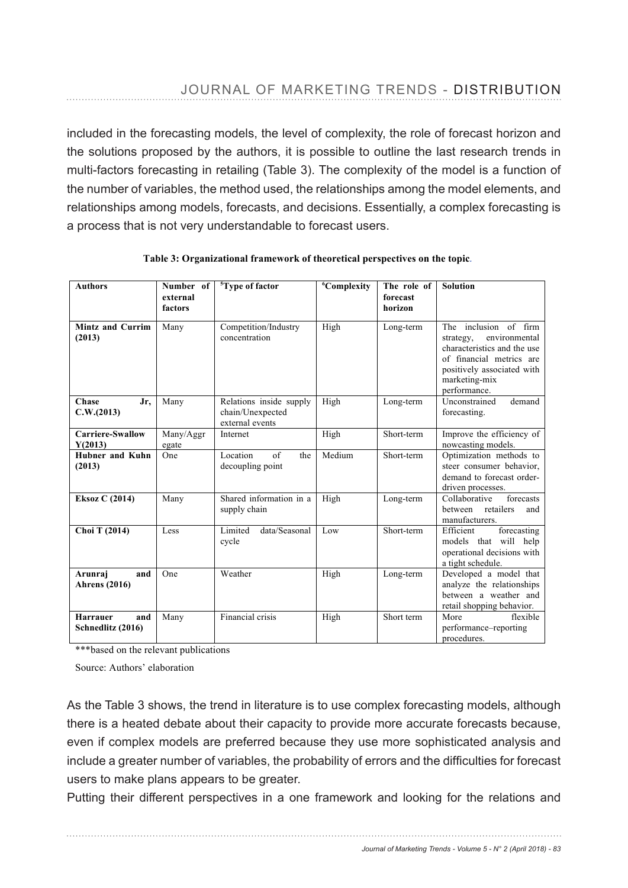included in the forecasting models, the level of complexity, the role of forecast horizon and the solutions proposed by the authors, it is possible to outline the last research trends in multi-factors forecasting in retailing (Table 3). The complexity of the model is a function of the number of variables, the method used, the relationships among the model elements, and relationships among models, forecasts, and decisions. Essentially, a complex forecasting is a process that is not very understandable to forecast users.

| <b>Authors</b>                              | Number of<br>external<br>factors | <sup>5</sup> Type of factor                                    | <sup>6</sup> Complexity | The role of<br>forecast<br>horizon | <b>Solution</b>                                                                                                                                                                  |
|---------------------------------------------|----------------------------------|----------------------------------------------------------------|-------------------------|------------------------------------|----------------------------------------------------------------------------------------------------------------------------------------------------------------------------------|
|                                             |                                  |                                                                |                         |                                    |                                                                                                                                                                                  |
| <b>Mintz and Currim</b><br>(2013)           | Many                             | Competition/Industry<br>concentration                          | High                    | Long-term                          | inclusion of firm<br>The<br>environmental<br>strategy,<br>characteristics and the use<br>of financial metrics are<br>positively associated with<br>marketing-mix<br>performance. |
| <b>Chase</b><br>Jr,<br>C.W.(2013)           | Many                             | Relations inside supply<br>chain/Unexpected<br>external events | High                    | Long-term                          | Unconstrained<br>demand<br>forecasting.                                                                                                                                          |
| <b>Carriere-Swallow</b><br>Y(2013)          | Many/Aggr<br>egate               | Internet                                                       | High                    | Short-term                         | Improve the efficiency of<br>nowcasting models.                                                                                                                                  |
| <b>Hubner</b> and Kuhn<br>(2013)            | One                              | of<br>Location<br>the<br>decoupling point                      | Medium                  | Short-term                         | Optimization methods to<br>steer consumer behavior,<br>demand to forecast order-<br>driven processes.                                                                            |
| <b>Eksoz C (2014)</b>                       | Many                             | Shared information in a<br>supply chain                        | High                    | Long-term                          | Collaborative<br>forecasts<br>between<br>retailers<br>and<br>manufacturers.                                                                                                      |
| Choi T (2014)                               | Less                             | Limited<br>data/Seasonal<br>cycle                              | Low                     | Short-term                         | forecasting<br>Efficient<br>models that will help<br>operational decisions with<br>a tight schedule.                                                                             |
| Arunraj<br>and<br><b>Ahrens</b> (2016)      | One                              | Weather                                                        | High                    | Long-term                          | Developed a model that<br>analyze the relationships<br>between a weather and<br>retail shopping behavior.                                                                        |
| <b>Harrauer</b><br>and<br>Schnedlitz (2016) | Many                             | Financial crisis                                               | High                    | Short term                         | More<br>flexible<br>performance-reporting<br>procedures.                                                                                                                         |

**Table 3: Organizational framework of theoretical perspectives on the topic**-

\*\*\*based on the relevant publications

Source: Authors' elaboration

As the Table 3 shows, the trend in literature is to use complex forecasting models, although there is a heated debate about their capacity to provide more accurate forecasts because, even if complex models are preferred because they use more sophisticated analysis and include a greater number of variables, the probability of errors and the difficulties for forecast users to make plans appears to be greater.

Putting their different perspectives in a one framework and looking for the relations and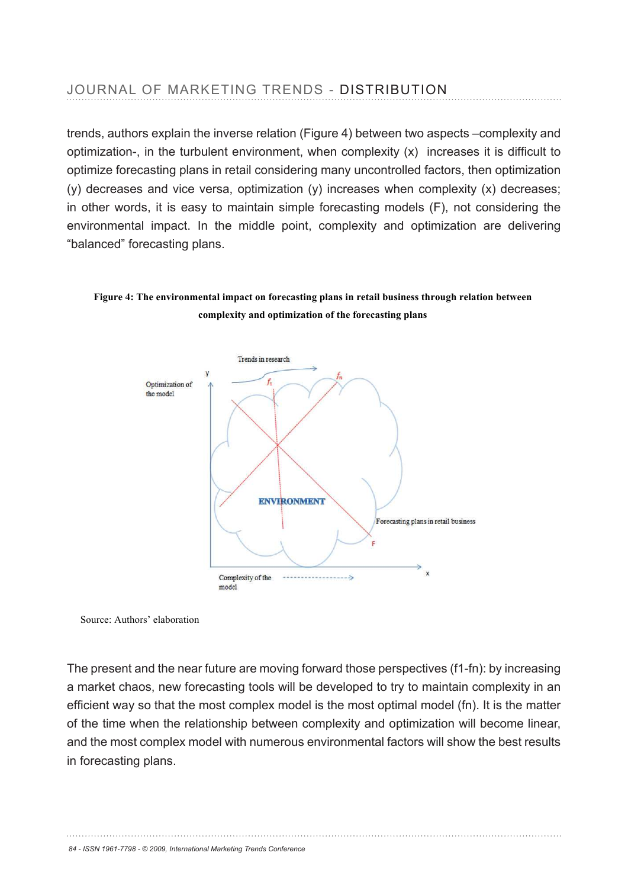trends, authors explain the inverse relation (Figure 4) between two aspects –complexity and optimization-, in the turbulent environment, when complexity  $(x)$  increases it is difficult to optimize forecasting plans in retail considering many uncontrolled factors, then optimization (y) decreases and vice versa, optimization (y) increases when complexity (x) decreases; in other words, it is easy to maintain simple forecasting models (F), not considering the environmental impact. In the middle point, complexity and optimization are delivering "balanced" forecasting plans.

#### **Figure 4: The environmental impact on forecasting plans in retail business through relation between complexity and optimization of the forecasting plans**



Source: Authors' elaboration

The present and the near future are moving forward those perspectives (f1-fn): by increasing a market chaos, new forecasting tools will be developed to try to maintain complexity in an efficient way so that the most complex model is the most optimal model (fn). It is the matter of the time when the relationship between complexity and optimization will become linear, and the most complex model with numerous environmental factors will show the best results in forecasting plans.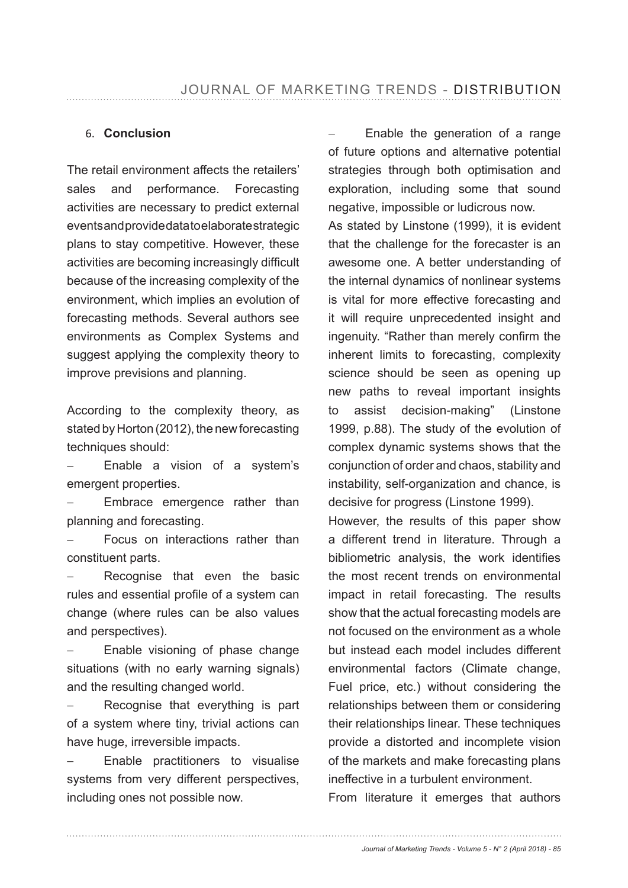### 6. **Conclusion**

The retail environment affects the retailers' sales and performance. Forecasting activities are necessary to predict external events and provide data to elaborate strategic plans to stay competitive. However, these activities are becoming increasingly difficult because of the increasing complexity of the environment, which implies an evolution of forecasting methods. Several authors see environments as Complex Systems and suggest applying the complexity theory to improve previsions and planning.

According to the complexity theory, as stated by Horton (2012), the new forecasting techniques should:

Enable a vision of a system's emergent properties.

Embrace emergence rather than planning and forecasting.

Focus on interactions rather than constituent parts.

Recognise that even the basic rules and essential profile of a system can change (where rules can be also values and perspectives).

− Enable visioning of phase change situations (with no early warning signals) and the resulting changed world.

Recognise that everything is part of a system where tiny, trivial actions can have huge, irreversible impacts.

Enable practitioners to visualise systems from very different perspectives, including ones not possible now.

Enable the generation of a range of future options and alternative potential strategies through both optimisation and exploration, including some that sound negative, impossible or ludicrous now. As stated by Linstone (1999), it is evident that the challenge for the forecaster is an awesome one. A better understanding of the internal dynamics of nonlinear systems is vital for more effective forecasting and it will require unprecedented insight and ingenuity. "Rather than merely confirm the inherent limits to forecasting, complexity science should be seen as opening up new paths to reveal important insights to assist decision-making" (Linstone 1999, p.88). The study of the evolution of complex dynamic systems shows that the conjunction of order and chaos, stability and instability, self-organization and chance, is decisive for progress (Linstone 1999).

However, the results of this paper show a different trend in literature. Through a bibliometric analysis, the work identifies the most recent trends on environmental impact in retail forecasting. The results show that the actual forecasting models are not focused on the environment as a whole but instead each model includes different environmental factors (Climate change, Fuel price, etc.) without considering the relationships between them or considering their relationships linear. These techniques provide a distorted and incomplete vision of the markets and make forecasting plans ineffective in a turbulent environment.

From literature it emerges that authors

*Journal of Marketing Trends - Volume 5 - N° 2 (April 2018) - 85*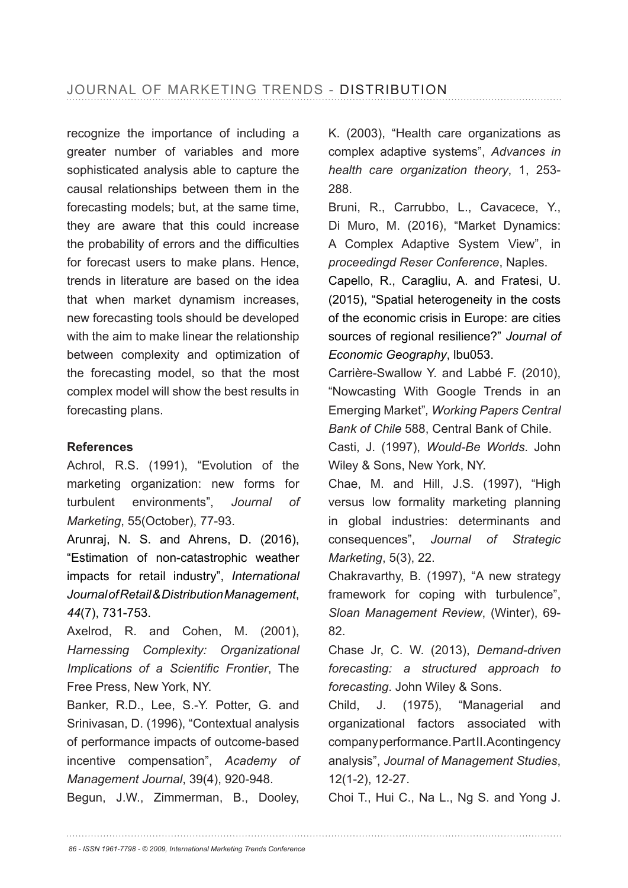recognize the importance of including a greater number of variables and more sophisticated analysis able to capture the causal relationships between them in the forecasting models; but, at the same time, they are aware that this could increase the probability of errors and the difficulties for forecast users to make plans. Hence, trends in literature are based on the idea that when market dynamism increases, new forecasting tools should be developed with the aim to make linear the relationship between complexity and optimization of the forecasting model, so that the most complex model will show the best results in forecasting plans.

## **References**

Achrol, R.S. (1991), "Evolution of the marketing organization: new forms for turbulent environments", *Journal of Marketing*, 55(October), 77-93.

Arunraj, N. S. and Ahrens, D. (2016), "Estimation of non-catastrophic weather impacts for retail industry", *International Journal of Retail & Distribution Management*, *44*(7), 731-753.

Axelrod, R. and Cohen, M. (2001), *Harnessing Complexity: Organizational*  Implications of a Scientific Frontier, The Free Press, New York, NY.

Banker, R.D., Lee, S.-Y. Potter, G. and Srinivasan, D. (1996), "Contextual analysis of performance impacts of outcome-based incentive compensation", *Academy of Management Journal*, 39(4), 920-948.

Begun, J.W., Zimmerman, B., Dooley,

K. (2003), "Health care organizations as complex adaptive systems", *Advances in health care organization theory*, 1, 253- 288.

Bruni, R., Carrubbo, L., Cavacece, Y., Di Muro, M. (2016), "Market Dynamics: A Complex Adaptive System View", in *proceedingd Reser Conference*, Naples.

Capello, R., Caragliu, A. and Fratesi, U. (2015), "Spatial heterogeneity in the costs of the economic crisis in Europe: are cities sources of regional resilience?" Journal of *Economic Geography*, lbu053.

Carrière-Swallow Y. and Labbé F. (2010), "Nowcasting With Google Trends in an Emerging Market"*, Working Papers Central Bank of Chile* 588, Central Bank of Chile.

Casti, J. (1997), Would-Be Worlds. John Wiley & Sons, New York, NY.

Chae, M. and Hill, J.S. (1997), "High versus low formality marketing planning in global industries: determinants and consequences", *Journal of Strategic Marketing*, 5(3), 22.

Chakravarthy, B. (1997), "A new strategy framework for coping with turbulence", *Sloan Management Review*, (Winter), 69- 82.

Chase Jr, C. W. (2013), *Demand-driven forecasting: a structured approach to forecasting*. John Wiley & Sons.

Child, J. (1975), "Managerial and organizational factors associated with company performance. Part II. A contingency analysis", *Journal of Management Studies*,  $12(1-2)$ , 12-27.

Choi T., Hui C., Na L., Ng S. and Yong J.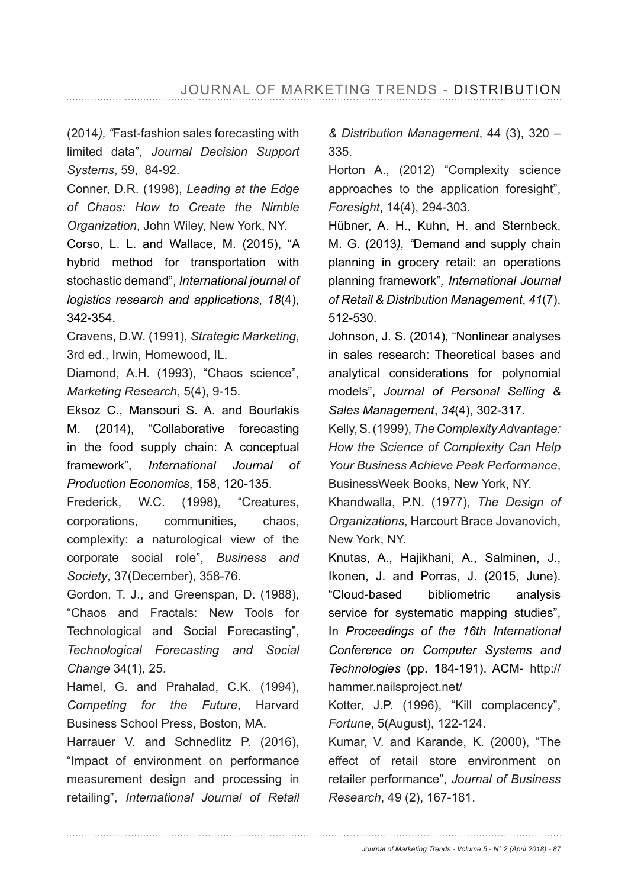(2014*), "*Fast-fashion sales forecasting with limited data"*, Journal Decision Support Systems*, 59, 84-92.

Conner, D.R. (1998), *Leading at the Edge of Chaos: How to Create the Nimble Organization*, John Wiley, New York, NY.

Corso, L. L. and Wallace, M. (2015), "A hybrid method for transportation with stochastic demand", *International journal of logistics research and applications*, *18*(4), 342-354.

Cravens, D.W. (1991), *Strategic Marketing*, 3rd ed., Irwin, Homewood, IL.

Diamond, A.H. (1993), "Chaos science", *Marketing Research*, 5(4), 9-15.

Eksoz C., Mansouri S. A. and Bourlakis M. (2014), "Collaborative forecasting in the food supply chain: A conceptual framework", *International Journal of Production Economics*, 158, 120-135.

Frederick, W.C. (1998), "Creatures, corporations, communities, chaos, complexity: a naturological view of the corporate social role", *Business and*  Society, 37(December), 358-76.

Gordon, T. J., and Greenspan, D. (1988), "Chaos and Fractals: New Tools for Technological and Social Forecasting", *Technological Forecasting and Social Change* 34(1), 25.

Hamel, G. and Prahalad, C.K. (1994), *Competing for the Future*, Harvard Business School Press, Boston, MA.

Harrauer V. and Schnedlitz P. (2016), "Impact of environment on performance measurement design and processing in retailing", *International Journal of Retail*  *& Distribution Management*, 44 (3), 320 – 335.

Horton A., (2012) "Complexity science approaches to the application foresight", *Foresight*, 14(4), 294-303.

Hübner, A. H., Kuhn, H. and Sternbeck, M. G. (2013*), "*Demand and supply chain planning in grocery retail: an operations planning framework"*, International Journal of Retail & Distribution Management*, *41* 512-530.

Johnson, J. S. (2014), "Nonlinear analyses in sales research: Theoretical bases and analytical considerations for polynomial models", *Journal of Personal Selling & Sales Management*, *34* 

Kelly, S. (1999), *The Complexity Advantage: How the Science of Complexity Can Help Your Business Achieve Peak Performance*, BusinessWeek Books, New York, NY.

Khandwalla, P.N. (1977), The Design of *Organizations*, Harcourt Brace Jovanovich, New York, NY.

Knutas, A., Hajikhani, A., Salminen, J., Ikonen, J. and Porras, J. (2015, June). "Cloud-based bibliometric analysis service for systematic mapping studies", In *Proceedings of the 16th International Conference on Computer Systems and Technologies* (pp. 184-191). ACM- http:// hammer.nailsproject.net/

Kotter, J.P. (1996), "Kill complacency", *Fortune*, 5(August), 122-124.

Kumar, V. and Karande, K. (2000), "The effect of retail store environment on retailer performance", *Journal of Business Research*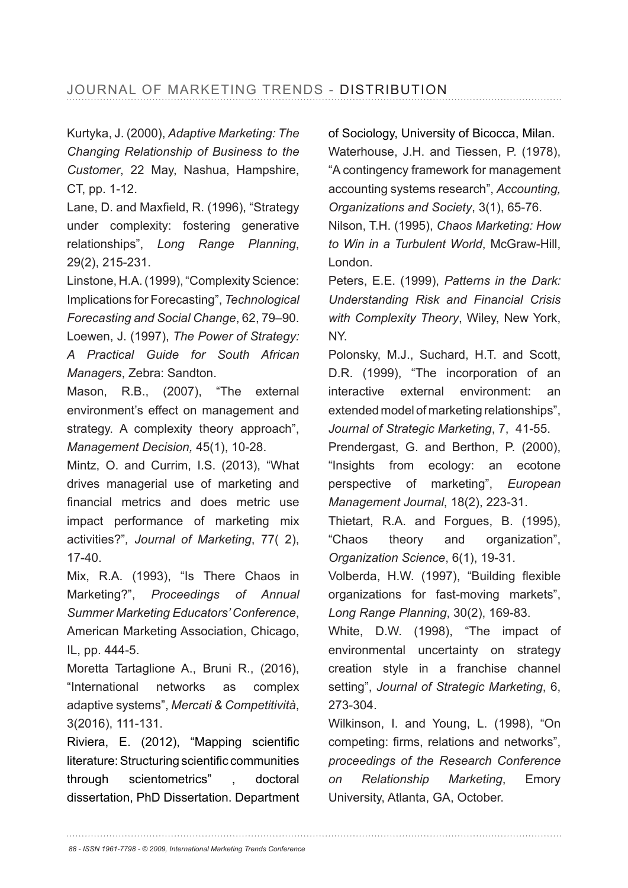Kurtyka, J. (2000), *Adaptive Marketing: The Changing Relationship of Business to the Customer*, 22 May, Nashua, Hampshire, CT, pp. 1-12.

Lane, D. and Maxfield, R. (1996), "Strategy under complexity: fostering generative relationships", *Long Range Planning*, 29(2), 215-231.

Linstone, H.A. (1999), "Complexity Science: Implications for Forecasting", *Technological Forecasting and Social Change*, 62, 79–90. Loewen, J. (1997), The Power of Strategy: *A Practical Guide for South African Managers*, Zebra: Sandton.

Mason, R.B., (2007), "The external environment's effect on management and strategy. A complexity theory approach", *Management Decision,* 45(1), 10-28.

Mintz, O. and Currim, I.S. (2013), "What drives managerial use of marketing and financial metrics and does metric use impact performance of marketing mix activities?", Journal of Marketing, 77( 2),  $17-40.$ 

Mix, R.A. (1993), "Is There Chaos in Marketing?", Proceedings of Annual *Summer Marketing Educators' Conference*, American Marketing Association, Chicago, IL, pp. 444-5.

Moretta Tartaglione A., Bruni R., (2016), "International networks as complex adaptive systems", *Mercati & Competitività*, 3(2016), 111-131.

Riviera, E. (2012), "Mapping scientific literature: Structuring scientific communities through scientometrics" , doctoral dissertation, PhD Dissertation. Department of Sociology, University of Bicocca, Milan. Waterhouse, J.H. and Tiessen, P. (1978), "A contingency framework for management accounting systems research", *Accounting, Organizations and Society* 

Nilson, T.H. (1995), *Chaos Marketing: How to Win in a Turbulent World*, McGraw-Hill, London.

Peters, E.E. (1999), *Patterns in the Dark: Understanding Risk and Financial Crisis with Complexity Theory*, Wiley, New York, NY.

Polonsky, M.J., Suchard, H.T. and Scott, D.R. (1999), "The incorporation of an interactive external environment: an extended model of marketing relationships", *Journal of Strategic Marketing*

Prendergast, G. and Berthon, P. (2000), "Insights from ecology: an ecotone perspective of marketing", *European Management Journal*, 18(2), 223-31.

Thietart, R.A. and Forgues, B. (1995), "Chaos theory and organization", *Organization Science*, 6(1), 19-31.

Volberda, H.W. (1997), "Building flexible organizations for fast-moving markets", *Long Range Planning*, 30(2), 169-83.

White, D.W. (1998), "The impact of environmental uncertainty on strategy creation style in a franchise channel setting", *Journal of Strategic Marketing*, 6, 273-304.

Wilkinson, I. and Young, L. (1998), "On competing: firms, relations and networks", *proceedings of the Research Conference on Relationship Marketing*, Emory University, Atlanta, GA, October.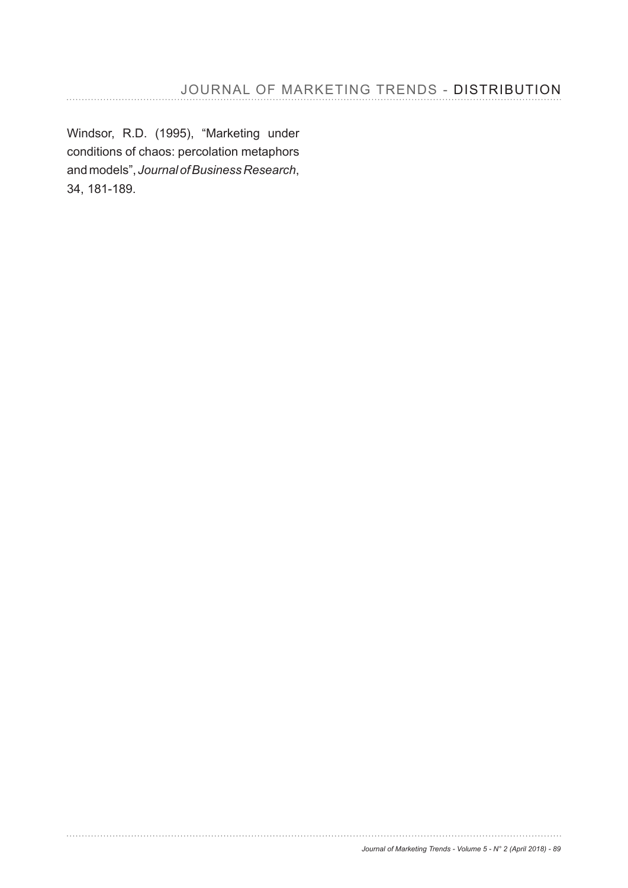Windsor, R.D. (1995), "Marketing under conditions of chaos: percolation metaphors and models", *Journal of Business Research*, 34, 181-189.